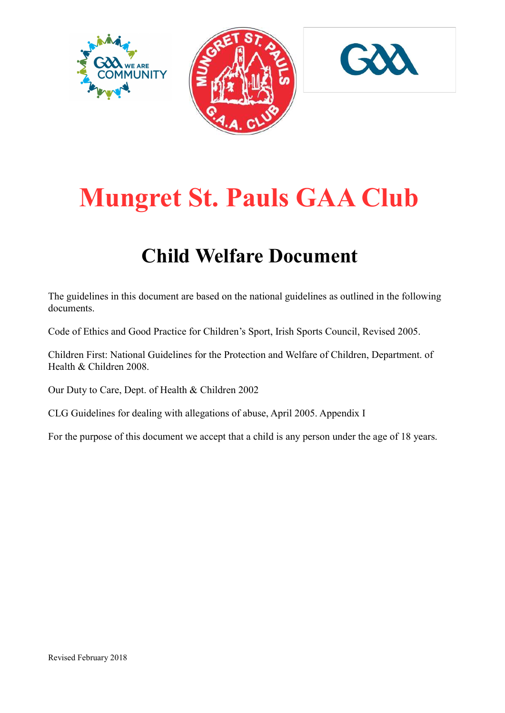





# Mungret St. Pauls GAA Club

# Child Welfare Document

The guidelines in this document are based on the national guidelines as outlined in the following documents.

Code of Ethics and Good Practice for Children's Sport, Irish Sports Council, Revised 2005.

Children First: National Guidelines for the Protection and Welfare of Children, Department. of Health & Children 2008.

Our Duty to Care, Dept. of Health & Children 2002

CLG Guidelines for dealing with allegations of abuse, April 2005. Appendix I

For the purpose of this document we accept that a child is any person under the age of 18 years.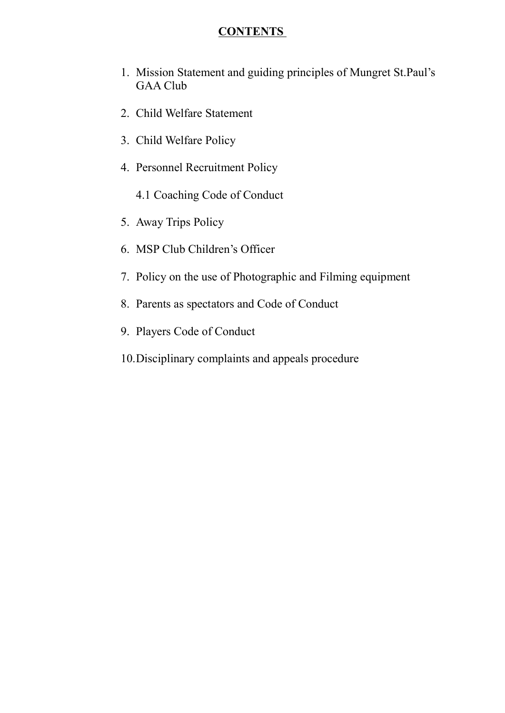# CONTENTS

- 1. Mission Statement and guiding principles of Mungret St.Paul's GAA Club
- 2. Child Welfare Statement
- 3. Child Welfare Policy
- 4. Personnel Recruitment Policy
	- 4.1 Coaching Code of Conduct
- 5. Away Trips Policy
- 6. MSP Club Children's Officer
- 7. Policy on the use of Photographic and Filming equipment
- 8. Parents as spectators and Code of Conduct
- 9. Players Code of Conduct
- 10.Disciplinary complaints and appeals procedure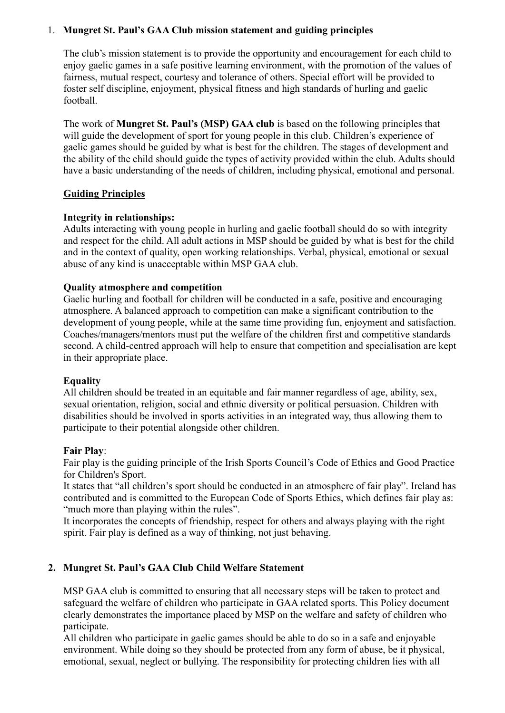### 1. Mungret St. Paul's GAA Club mission statement and guiding principles

The club's mission statement is to provide the opportunity and encouragement for each child to enjoy gaelic games in a safe positive learning environment, with the promotion of the values of fairness, mutual respect, courtesy and tolerance of others. Special effort will be provided to foster self discipline, enjoyment, physical fitness and high standards of hurling and gaelic football.

The work of Mungret St. Paul's (MSP) GAA club is based on the following principles that will guide the development of sport for young people in this club. Children's experience of gaelic games should be guided by what is best for the children. The stages of development and the ability of the child should guide the types of activity provided within the club. Adults should have a basic understanding of the needs of children, including physical, emotional and personal.

# **Guiding Principles**

### Integrity in relationships:

Adults interacting with young people in hurling and gaelic football should do so with integrity and respect for the child. All adult actions in MSP should be guided by what is best for the child and in the context of quality, open working relationships. Verbal, physical, emotional or sexual abuse of any kind is unacceptable within MSP GAA club.

### Quality atmosphere and competition

Gaelic hurling and football for children will be conducted in a safe, positive and encouraging atmosphere. A balanced approach to competition can make a significant contribution to the development of young people, while at the same time providing fun, enjoyment and satisfaction. Coaches/managers/mentors must put the welfare of the children first and competitive standards second. A child-centred approach will help to ensure that competition and specialisation are kept in their appropriate place.

### Equality

All children should be treated in an equitable and fair manner regardless of age, ability, sex, sexual orientation, religion, social and ethnic diversity or political persuasion. Children with disabilities should be involved in sports activities in an integrated way, thus allowing them to participate to their potential alongside other children.

### Fair Play:

Fair play is the guiding principle of the Irish Sports Council's Code of Ethics and Good Practice for Children's Sport.

It states that "all children's sport should be conducted in an atmosphere of fair play". Ireland has contributed and is committed to the European Code of Sports Ethics, which defines fair play as: "much more than playing within the rules".

It incorporates the concepts of friendship, respect for others and always playing with the right spirit. Fair play is defined as a way of thinking, not just behaving.

# 2. Mungret St. Paul's GAA Club Child Welfare Statement

MSP GAA club is committed to ensuring that all necessary steps will be taken to protect and safeguard the welfare of children who participate in GAA related sports. This Policy document clearly demonstrates the importance placed by MSP on the welfare and safety of children who participate.

All children who participate in gaelic games should be able to do so in a safe and enjoyable environment. While doing so they should be protected from any form of abuse, be it physical, emotional, sexual, neglect or bullying. The responsibility for protecting children lies with all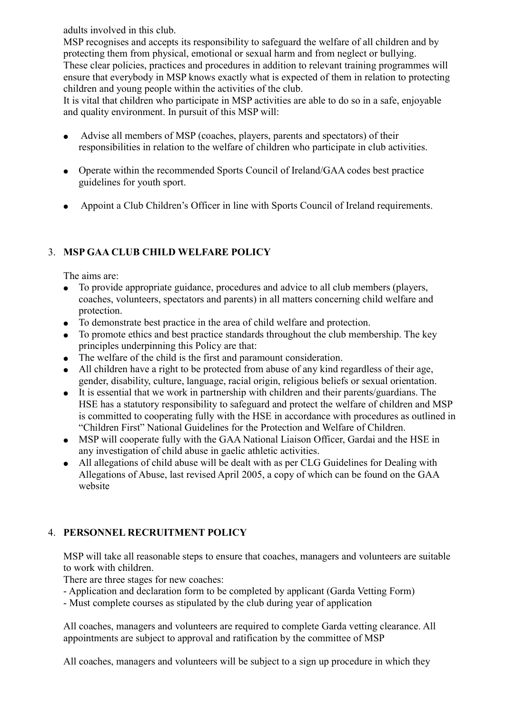adults involved in this club.

MSP recognises and accepts its responsibility to safeguard the welfare of all children and by protecting them from physical, emotional or sexual harm and from neglect or bullying. These clear policies, practices and procedures in addition to relevant training programmes will ensure that everybody in MSP knows exactly what is expected of them in relation to protecting children and young people within the activities of the club.

It is vital that children who participate in MSP activities are able to do so in a safe, enjoyable and quality environment. In pursuit of this MSP will:

- Advise all members of MSP (coaches, players, parents and spectators) of their responsibilities in relation to the welfare of children who participate in club activities.
- Operate within the recommended Sports Council of Ireland/GAA codes best practice guidelines for youth sport.
- Appoint a Club Children's Officer in line with Sports Council of Ireland requirements.

# 3. MSP GAA CLUB CHILD WELFARE POLICY

The aims are:

- To provide appropriate guidance, procedures and advice to all club members (players, coaches, volunteers, spectators and parents) in all matters concerning child welfare and protection.
- To demonstrate best practice in the area of child welfare and protection.
- To promote ethics and best practice standards throughout the club membership. The key principles underpinning this Policy are that:
- The welfare of the child is the first and paramount consideration.
- All children have a right to be protected from abuse of any kind regardless of their age, gender, disability, culture, language, racial origin, religious beliefs or sexual orientation.
- It is essential that we work in partnership with children and their parents/guardians. The HSE has a statutory responsibility to safeguard and protect the welfare of children and MSP is committed to cooperating fully with the HSE in accordance with procedures as outlined in "Children First" National Guidelines for the Protection and Welfare of Children.
- MSP will cooperate fully with the GAA National Liaison Officer, Gardai and the HSE in any investigation of child abuse in gaelic athletic activities.
- All allegations of child abuse will be dealt with as per CLG Guidelines for Dealing with Allegations of Abuse, last revised April 2005, a copy of which can be found on the GAA website

# 4. PERSONNEL RECRUITMENT POLICY

MSP will take all reasonable steps to ensure that coaches, managers and volunteers are suitable to work with children.

There are three stages for new coaches:

- Application and declaration form to be completed by applicant (Garda Vetting Form)
- Must complete courses as stipulated by the club during year of application

All coaches, managers and volunteers are required to complete Garda vetting clearance. All appointments are subject to approval and ratification by the committee of MSP

All coaches, managers and volunteers will be subject to a sign up procedure in which they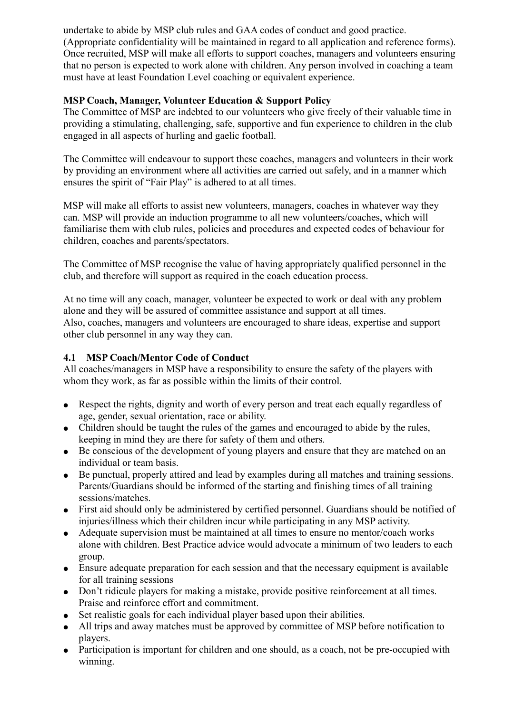undertake to abide by MSP club rules and GAA codes of conduct and good practice. (Appropriate confidentiality will be maintained in regard to all application and reference forms). Once recruited, MSP will make all efforts to support coaches, managers and volunteers ensuring that no person is expected to work alone with children. Any person involved in coaching a team must have at least Foundation Level coaching or equivalent experience.

# MSP Coach, Manager, Volunteer Education & Support Policy

The Committee of MSP are indebted to our volunteers who give freely of their valuable time in providing a stimulating, challenging, safe, supportive and fun experience to children in the club engaged in all aspects of hurling and gaelic football.

The Committee will endeavour to support these coaches, managers and volunteers in their work by providing an environment where all activities are carried out safely, and in a manner which ensures the spirit of "Fair Play" is adhered to at all times.

MSP will make all efforts to assist new volunteers, managers, coaches in whatever way they can. MSP will provide an induction programme to all new volunteers/coaches, which will familiarise them with club rules, policies and procedures and expected codes of behaviour for children, coaches and parents/spectators.

The Committee of MSP recognise the value of having appropriately qualified personnel in the club, and therefore will support as required in the coach education process.

At no time will any coach, manager, volunteer be expected to work or deal with any problem alone and they will be assured of committee assistance and support at all times. Also, coaches, managers and volunteers are encouraged to share ideas, expertise and support other club personnel in any way they can.

# 4.1 MSP Coach/Mentor Code of Conduct

All coaches/managers in MSP have a responsibility to ensure the safety of the players with whom they work, as far as possible within the limits of their control.

- Respect the rights, dignity and worth of every person and treat each equally regardless of age, gender, sexual orientation, race or ability.
- Children should be taught the rules of the games and encouraged to abide by the rules, keeping in mind they are there for safety of them and others.
- Be conscious of the development of young players and ensure that they are matched on an individual or team basis.
- Be punctual, properly attired and lead by examples during all matches and training sessions. Parents/Guardians should be informed of the starting and finishing times of all training sessions/matches.
- First aid should only be administered by certified personnel. Guardians should be notified of injuries/illness which their children incur while participating in any MSP activity.
- Adequate supervision must be maintained at all times to ensure no mentor/coach works alone with children. Best Practice advice would advocate a minimum of two leaders to each group.
- Ensure adequate preparation for each session and that the necessary equipment is available for all training sessions
- Don't ridicule players for making a mistake, provide positive reinforcement at all times. Praise and reinforce effort and commitment.
- Set realistic goals for each individual player based upon their abilities.
- All trips and away matches must be approved by committee of MSP before notification to players.
- Participation is important for children and one should, as a coach, not be pre-occupied with winning.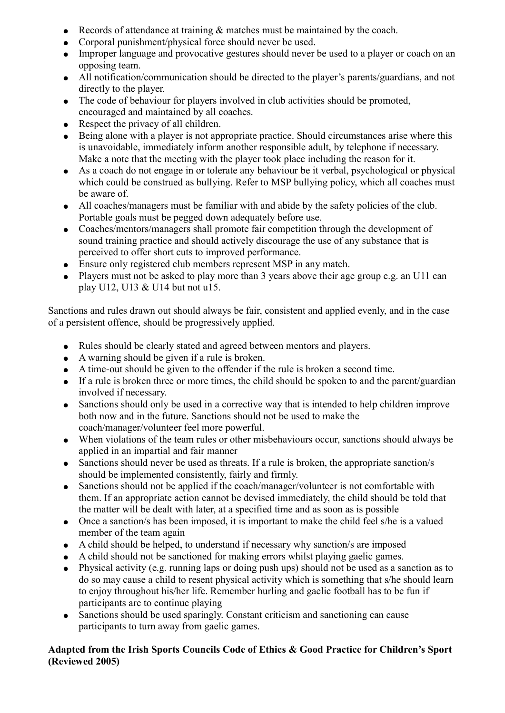- Records of attendance at training  $\&$  matches must be maintained by the coach.
- Corporal punishment/physical force should never be used.
- Improper language and provocative gestures should never be used to a player or coach on an opposing team.
- All notification/communication should be directed to the player's parents/guardians, and not directly to the player.
- The code of behaviour for players involved in club activities should be promoted, encouraged and maintained by all coaches.
- Respect the privacy of all children.
- Being alone with a player is not appropriate practice. Should circumstances arise where this is unavoidable, immediately inform another responsible adult, by telephone if necessary. Make a note that the meeting with the player took place including the reason for it.
- As a coach do not engage in or tolerate any behaviour be it verbal, psychological or physical which could be construed as bullying. Refer to MSP bullying policy, which all coaches must be aware of.
- All coaches/managers must be familiar with and abide by the safety policies of the club. Portable goals must be pegged down adequately before use.
- Coaches/mentors/managers shall promote fair competition through the development of sound training practice and should actively discourage the use of any substance that is perceived to offer short cuts to improved performance.
- Ensure only registered club members represent MSP in any match.
- Players must not be asked to play more than 3 years above their age group e.g. an U11 can play U12, U13 & U14 but not u15.

Sanctions and rules drawn out should always be fair, consistent and applied evenly, and in the case of a persistent offence, should be progressively applied.

- Rules should be clearly stated and agreed between mentors and players.
- $\bullet$  A warning should be given if a rule is broken.
- A time-out should be given to the offender if the rule is broken a second time.
- If a rule is broken three or more times, the child should be spoken to and the parent/guardian involved if necessary.
- Sanctions should only be used in a corrective way that is intended to help children improve both now and in the future. Sanctions should not be used to make the coach/manager/volunteer feel more powerful.
- When violations of the team rules or other misbehaviours occur, sanctions should always be applied in an impartial and fair manner
- $\bullet$  Sanctions should never be used as threats. If a rule is broken, the appropriate sanction/s should be implemented consistently, fairly and firmly.
- Sanctions should not be applied if the coach/manager/volunteer is not comfortable with them. If an appropriate action cannot be devised immediately, the child should be told that the matter will be dealt with later, at a specified time and as soon as is possible
- Once a sanction/s has been imposed, it is important to make the child feel s/he is a valued member of the team again
- A child should be helped, to understand if necessary why sanction/s are imposed
- A child should not be sanctioned for making errors whilst playing gaelic games.
- Physical activity (e.g. running laps or doing push ups) should not be used as a sanction as to do so may cause a child to resent physical activity which is something that s/he should learn to enjoy throughout his/her life. Remember hurling and gaelic football has to be fun if participants are to continue playing
- Sanctions should be used sparingly. Constant criticism and sanctioning can cause participants to turn away from gaelic games.

# Adapted from the Irish Sports Councils Code of Ethics & Good Practice for Children's Sport (Reviewed 2005)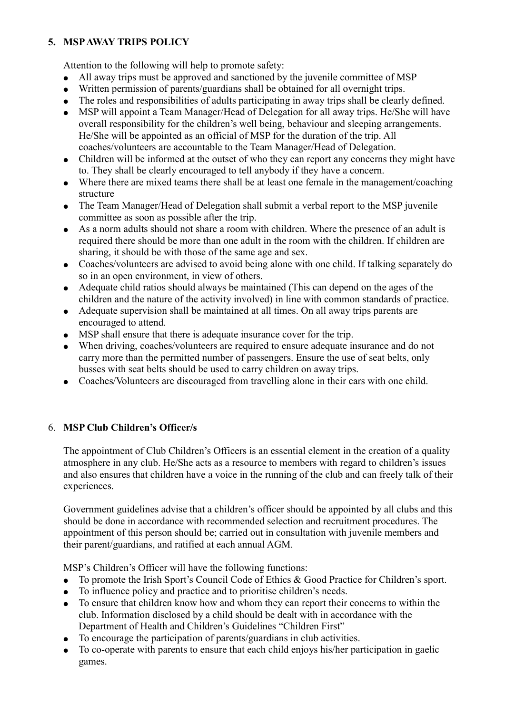# 5. MSP AWAY TRIPS POLICY

Attention to the following will help to promote safety:

- All away trips must be approved and sanctioned by the juvenile committee of MSP
- Written permission of parents/guardians shall be obtained for all overnight trips.
- The roles and responsibilities of adults participating in away trips shall be clearly defined.
- MSP will appoint a Team Manager/Head of Delegation for all away trips. He/She will have overall responsibility for the children's well being, behaviour and sleeping arrangements. He/She will be appointed as an official of MSP for the duration of the trip. All coaches/volunteers are accountable to the Team Manager/Head of Delegation.
- Children will be informed at the outset of who they can report any concerns they might have to. They shall be clearly encouraged to tell anybody if they have a concern.
- Where there are mixed teams there shall be at least one female in the management/coaching structure
- The Team Manager/Head of Delegation shall submit a verbal report to the MSP juvenile committee as soon as possible after the trip.
- As a norm adults should not share a room with children. Where the presence of an adult is required there should be more than one adult in the room with the children. If children are sharing, it should be with those of the same age and sex.
- Coaches/volunteers are advised to avoid being alone with one child. If talking separately do so in an open environment, in view of others.
- Adequate child ratios should always be maintained (This can depend on the ages of the children and the nature of the activity involved) in line with common standards of practice.
- Adequate supervision shall be maintained at all times. On all away trips parents are encouraged to attend.
- MSP shall ensure that there is adequate insurance cover for the trip.
- When driving, coaches/volunteers are required to ensure adequate insurance and do not carry more than the permitted number of passengers. Ensure the use of seat belts, only busses with seat belts should be used to carry children on away trips.
- Coaches/Volunteers are discouraged from travelling alone in their cars with one child.

# 6. MSP Club Children's Officer/s

The appointment of Club Children's Officers is an essential element in the creation of a quality atmosphere in any club. He/She acts as a resource to members with regard to children's issues and also ensures that children have a voice in the running of the club and can freely talk of their experiences.

Government guidelines advise that a children's officer should be appointed by all clubs and this should be done in accordance with recommended selection and recruitment procedures. The appointment of this person should be; carried out in consultation with juvenile members and their parent/guardians, and ratified at each annual AGM.

MSP's Children's Officer will have the following functions:

- To promote the Irish Sport's Council Code of Ethics & Good Practice for Children's sport.
- To influence policy and practice and to prioritise children's needs.
- To ensure that children know how and whom they can report their concerns to within the club. Information disclosed by a child should be dealt with in accordance with the Department of Health and Children's Guidelines "Children First"
- To encourage the participation of parents/guardians in club activities.
- To co-operate with parents to ensure that each child enjoys his/her participation in gaelic games.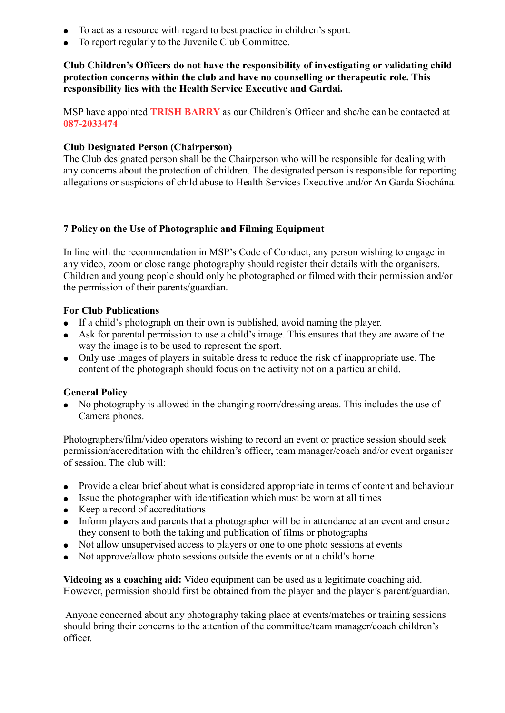- To act as a resource with regard to best practice in children's sport.
- To report regularly to the Juvenile Club Committee.

# Club Children's Officers do not have the responsibility of investigating or validating child protection concerns within the club and have no counselling or therapeutic role. This responsibility lies with the Health Service Executive and Gardai.

MSP have appointed **TRISH BARRY** as our Children's Officer and she/he can be contacted at 087-2033474

# Club Designated Person (Chairperson)

The Club designated person shall be the Chairperson who will be responsible for dealing with any concerns about the protection of children. The designated person is responsible for reporting allegations or suspicions of child abuse to Health Services Executive and/or An Garda Siochána.

### 7 Policy on the Use of Photographic and Filming Equipment

In line with the recommendation in MSP's Code of Conduct, any person wishing to engage in any video, zoom or close range photography should register their details with the organisers. Children and young people should only be photographed or filmed with their permission and/or the permission of their parents/guardian.

### For Club Publications

- If a child's photograph on their own is published, avoid naming the player.
- Ask for parental permission to use a child's image. This ensures that they are aware of the way the image is to be used to represent the sport.
- Only use images of players in suitable dress to reduce the risk of inappropriate use. The content of the photograph should focus on the activity not on a particular child.

### General Policy

• No photography is allowed in the changing room/dressing areas. This includes the use of Camera phones.

Photographers/film/video operators wishing to record an event or practice session should seek permission/accreditation with the children's officer, team manager/coach and/or event organiser of session. The club will:

- Provide a clear brief about what is considered appropriate in terms of content and behaviour
- Issue the photographer with identification which must be worn at all times
- Keep a record of accreditations
- Inform players and parents that a photographer will be in attendance at an event and ensure they consent to both the taking and publication of films or photographs
- Not allow unsupervised access to players or one to one photo sessions at events
- Not approve/allow photo sessions outside the events or at a child's home.

Videoing as a coaching aid: Video equipment can be used as a legitimate coaching aid. However, permission should first be obtained from the player and the player's parent/guardian.

 Anyone concerned about any photography taking place at events/matches or training sessions should bring their concerns to the attention of the committee/team manager/coach children's officer.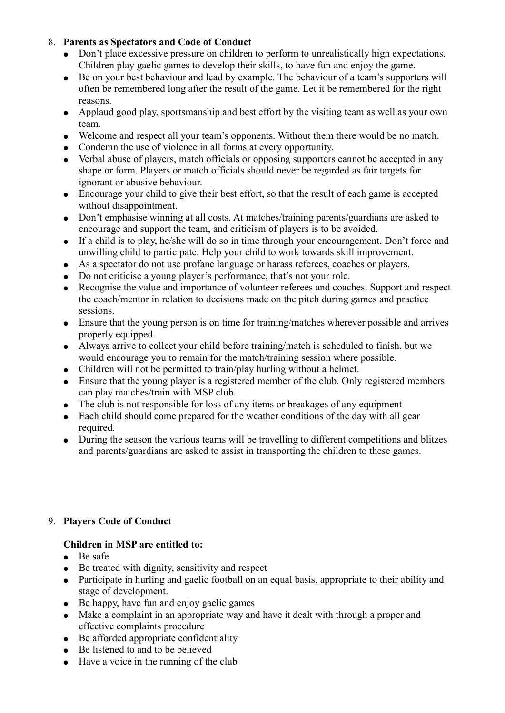# 8. Parents as Spectators and Code of Conduct

- Don't place excessive pressure on children to perform to unrealistically high expectations. Children play gaelic games to develop their skills, to have fun and enjoy the game.
- Be on your best behaviour and lead by example. The behaviour of a team's supporters will often be remembered long after the result of the game. Let it be remembered for the right reasons.
- Applaud good play, sportsmanship and best effort by the visiting team as well as your own team.
- Welcome and respect all your team's opponents. Without them there would be no match.
- Condemn the use of violence in all forms at every opportunity.
- Verbal abuse of players, match officials or opposing supporters cannot be accepted in any shape or form. Players or match officials should never be regarded as fair targets for ignorant or abusive behaviour.
- Encourage your child to give their best effort, so that the result of each game is accepted without disappointment.
- Don't emphasise winning at all costs. At matches/training parents/guardians are asked to encourage and support the team, and criticism of players is to be avoided.
- If a child is to play, he/she will do so in time through your encouragement. Don't force and unwilling child to participate. Help your child to work towards skill improvement.
- As a spectator do not use profane language or harass referees, coaches or players.
- Do not criticise a young player's performance, that's not your role.
- Recognise the value and importance of volunteer referees and coaches. Support and respect the coach/mentor in relation to decisions made on the pitch during games and practice sessions.
- Ensure that the young person is on time for training/matches wherever possible and arrives properly equipped.
- Always arrive to collect your child before training/match is scheduled to finish, but we would encourage you to remain for the match/training session where possible.
- Children will not be permitted to train/play hurling without a helmet.
- Ensure that the young player is a registered member of the club. Only registered members can play matches/train with MSP club.
- The club is not responsible for loss of any items or breakages of any equipment
- Each child should come prepared for the weather conditions of the day with all gear required.
- During the season the various teams will be travelling to different competitions and blitzes and parents/guardians are asked to assist in transporting the children to these games.

# 9. Players Code of Conduct

### Children in MSP are entitled to:

- Be safe
- Be treated with dignity, sensitivity and respect
- Participate in hurling and gaelic football on an equal basis, appropriate to their ability and stage of development.
- Be happy, have fun and enjoy gaelic games
- Make a complaint in an appropriate way and have it dealt with through a proper and effective complaints procedure
- $\bullet$  Be afforded appropriate confidentiality
- Be listened to and to be believed
- Have a voice in the running of the club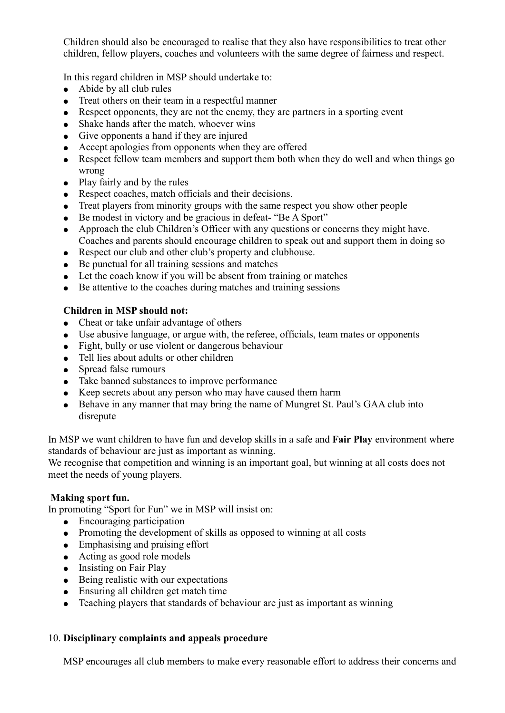Children should also be encouraged to realise that they also have responsibilities to treat other children, fellow players, coaches and volunteers with the same degree of fairness and respect.

In this regard children in MSP should undertake to:

- $\bullet$  Abide by all club rules
- Treat others on their team in a respectful manner
- Respect opponents, they are not the enemy, they are partners in a sporting event
- Shake hands after the match, whoever wins
- Give opponents a hand if they are injured
- Accept apologies from opponents when they are offered
- Respect fellow team members and support them both when they do well and when things go wrong
- Play fairly and by the rules
- Respect coaches, match officials and their decisions.
- Treat players from minority groups with the same respect you show other people
- Be modest in victory and be gracious in defeat- "Be A Sport"
- Approach the club Children's Officer with any questions or concerns they might have. Coaches and parents should encourage children to speak out and support them in doing so
- Respect our club and other club's property and clubhouse.
- Be punctual for all training sessions and matches
- Let the coach know if you will be absent from training or matches
- Be attentive to the coaches during matches and training sessions

# Children in MSP should not:

- Cheat or take unfair advantage of others
- Use abusive language, or argue with, the referee, officials, team mates or opponents
- Fight, bully or use violent or dangerous behaviour
- Tell lies about adults or other children
- Spread false rumours
- Take banned substances to improve performance
- Keep secrets about any person who may have caused them harm
- Behave in any manner that may bring the name of Mungret St. Paul's GAA club into disrepute

In MSP we want children to have fun and develop skills in a safe and **Fair Play** environment where standards of behaviour are just as important as winning.

We recognise that competition and winning is an important goal, but winning at all costs does not meet the needs of young players.

### Making sport fun.

In promoting "Sport for Fun" we in MSP will insist on:

- Encouraging participation
- Promoting the development of skills as opposed to winning at all costs
- Emphasising and praising effort
- Acting as good role models
- Insisting on Fair Play
- Being realistic with our expectations
- Ensuring all children get match time
- Teaching players that standards of behaviour are just as important as winning

### 10. Disciplinary complaints and appeals procedure

MSP encourages all club members to make every reasonable effort to address their concerns and